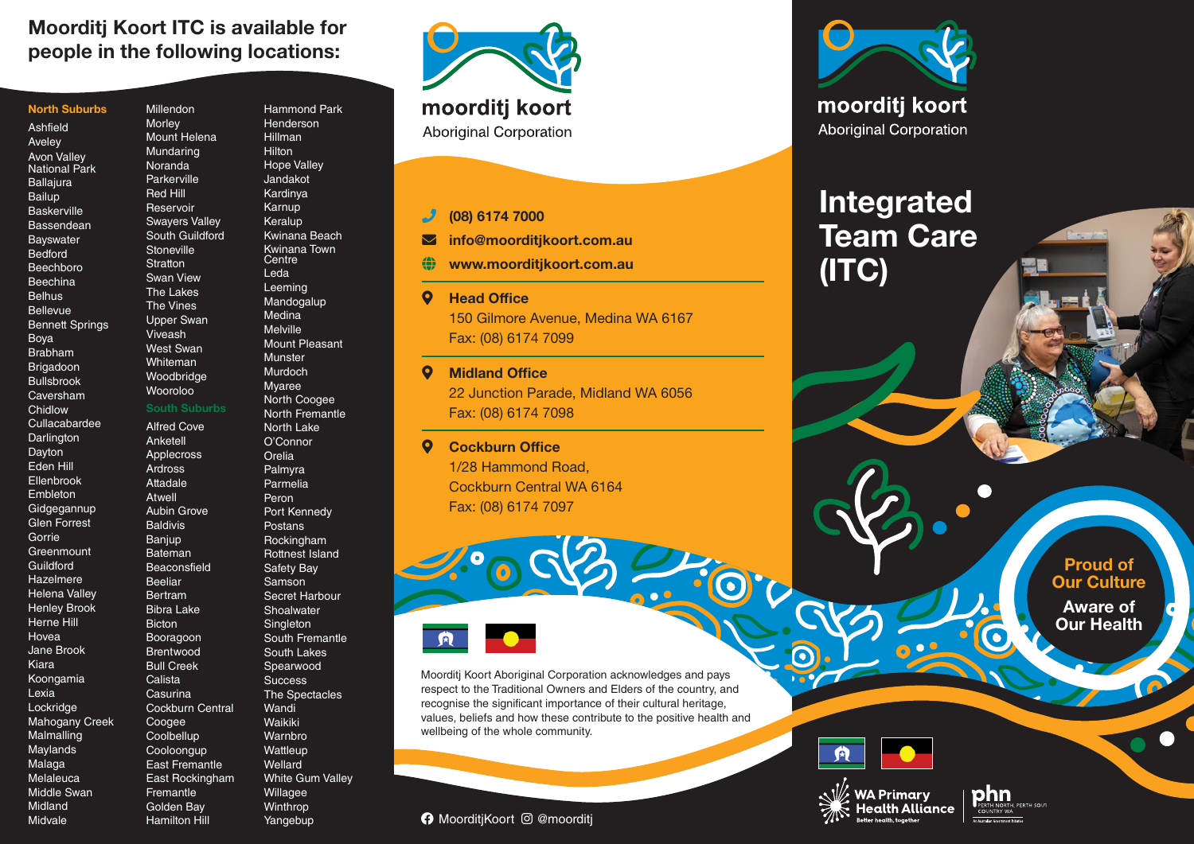### Moorditj Koort ITC is available for people in the following locations:

Millendon Morley Mount Helena Mundaring Noranda Parkerville Red Hill Reservoir Swayers Valley

**Stoneville Stratton** Swan View The Lakes The Vines Upper Swan Viveash West Swan Whiteman Woodbridge Wooroloo

Alfred Cove Anketell Applecross Ardross Attadale Atwell Aubin Grove Baldivis **Banjup** Bateman **Beaconsfield** Beeliar Bertram Bibra Lake **Bicton** Booragoon Brentwood Bull Creek **Calista Casurina** 

Coogee **Coolbellup Cooloongup** 

**Fremantle** Golden Bay Hamilton Hill

|  |  | <b>North Suburbs</b> |  |  |
|--|--|----------------------|--|--|
|--|--|----------------------|--|--|

Ashfield Aveley Avon Valley National Park **Ballajura** Bailup **Baskerville** Bassendean Bayswater Bedford Beechboro Beechina **Belhus** Bellevue Bennett Springs Boya Brabham Brigadoon Bullsbrook Caversham **Chidlow** Cullacabardee **Darlington Dayton** Eden Hill Ellenbrook Embleton Gidgegannup Glen Forrest Gorrie **Greenmount** Guildford Hazelmere Helena Valley Henley Brook Herne Hill Hovea Jane Brook Kiara Koongamia Lexia **Lockridge** Mahogany Creek Malmalling Maylands Malaga Melaleuca Middle Swan Midland Midvale

South Guildford South Suburbs Cockburn Central East Fremantle East Rockingham Hammond Park **Henderson** Hillman Hilton Hope Valley Jandakot Kardinya Karnup Keralup Kwinana Beach Kwinana Town Centre Leda Leeming Mandogalup Medina Melville Mount Pleasant Munster Murdoch Myaree North Coogee North Fremantle North Lake O'Connor Orelia Palmyra Parmelia Peron Port Kennedy Postans Rockingham Rottnest Island Safety Bay Samson Secret Harbour **Shoalwater Singleton** South Fremantle South Lakes Spearwood **Success** The Spectacles Wandi **Waikiki** Warnbro **Wattleup** Wellard White Gum Valley Willagee **Winthrop** 

Yangebup



#### phone (08) 6174 7000

 $\blacktriangleright$  info@moorditjkoort.com.au

www.moorditjkoort.com.au

#### **Q** Head Office

150 Gilmore Avenue, Medina WA 6167 Fax: (08) 6174 7099

#### **Q** Midland Office

22 Junction Parade, Midland WA 6056 Fax: (08) 6174 7098

#### **Q** Cockburn Office

1/28 Hammond Road, Cockburn Central WA 6164 Fax: (08) 6174 7097



Moorditj Koort Aboriginal Corporation acknowledges and pays respect to the Traditional Owners and Elders of the country, and recognise the significant importance of their cultural heritage, values, beliefs and how these contribute to the positive health and wellbeing of the whole community.

 $\Omega$ 





# Integrated Team Care (ITC)

Proud of **Our Culture** 

Aware of Our Health



**WA Primary** 

**Rotter health togethe** 

 $\bullet$